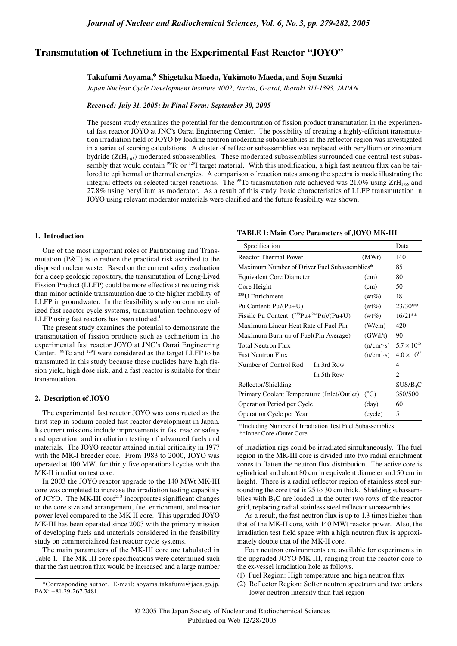# **Transmutation of Technetium in the Experimental Fast Reactor "JOYO"**

### **Takafumi Aoyama,\* Shigetaka Maeda, Yukimoto Maeda, and Soju Suzuki**

*Japan Nuclear Cycle Development Institute 4002, Narita, O-arai, Ibaraki 311-1393, JAPAN*

#### *Received: July 31, 2005; In Final Form: September 30, 2005*

The present study examines the potential for the demonstration of fission product transmutation in the experimental fast reactor JOYO at JNC's Oarai Engineering Center. The possibility of creating a highly-efficient transmutation irradiation field of JOYO by loading neutron moderating subassemblies in the reflector region was investigated in a series of scoping calculations. A cluster of reflector subassemblies was replaced with beryllium or zirconium hydride  $(ZrH<sub>165</sub>)$  moderated subassemblies. These moderated subassemblies surrounded one central test subassembly that would contain  $99Tc$  or  $129I$  target material. With this modification, a high fast neutron flux can be tailored to epithermal or thermal energies. A comparison of reaction rates among the spectra is made illustrating the integral effects on selected target reactions. The <sup>99</sup>Tc transmutation rate achieved was 21.0% using ZrH<sub>1.65</sub> and 27.8% using beryllium as moderator. As a result of this study, basic characteristics of LLFP transmutation in JOYO using relevant moderator materials were clarified and the future feasibility was shown.

#### **1. Introduction**

One of the most important roles of Partitioning and Transmutation (P&T) is to reduce the practical risk ascribed to the disposed nuclear waste. Based on the current safety evaluation for a deep geologic repository, the transmutation of Long-Lived Fission Product (LLFP) could be more effective at reducing risk than minor actinide transmutation due to the higher mobility of LLFP in groundwater. In the feasibility study on commercialized fast reactor cycle systems, transmutation technology of LLFP using fast reactors has been studied.<sup>1</sup>

The present study examines the potential to demonstrate the transmutation of fission products such as technetium in the experimental fast reactor JOYO at JNC's Oarai Engineering Center. <sup>99</sup>Tc and <sup>129</sup>I were considered as the target LLFP to be transmuted in this study because these nuclides have high fission yield, high dose risk, and a fast reactor is suitable for their transmutation.

## **2. Description of JOYO**

The experimental fast reactor JOYO was constructed as the first step in sodium cooled fast reactor development in Japan. Its current missions include improvements in fast reactor safety and operation, and irradiation testing of advanced fuels and materials. The JOYO reactor attained initial criticality in 1977 with the MK-I breeder core. From 1983 to 2000, JOYO was operated at 100 MWt for thirty five operational cycles with the MK-II irradiation test core.

In 2003 the JOYO reactor upgrade to the 140 MWt MK-III core was completed to increase the irradiation testing capability of JOYO. The MK-III core<sup>2, 3</sup> incorporates significant changes to the core size and arrangement, fuel enrichment, and reactor power level compared to the MK-II core. This upgraded JOYO MK-III has been operated since 2003 with the primary mission of developing fuels and materials considered in the feasibility study on commercialized fast reactor cycle systems.

The main parameters of the MK-III core are tabulated in Table 1. The MK-III core specifications were determined such that the fast neutron flux would be increased and a large number

## **TABLE 1: Main Core Parameters of JOYO MK-III**

| Specification                                      |                                                  | Data                 |
|----------------------------------------------------|--------------------------------------------------|----------------------|
| <b>Reactor Thermal Power</b>                       | (MWt)                                            | 140                  |
| Maximum Number of Driver Fuel Subassemblies*       | 85                                               |                      |
| <b>Equivalent Core Diameter</b>                    | (cm)                                             | 80                   |
| Core Height                                        | (cm)                                             | 50                   |
| $^{235}$ U Enrichment                              | $(wt\%)$                                         | 18                   |
| Pu Content: Pu/(Pu+U)                              | $(wt\%)$                                         | $23/30**$            |
| Fissile Pu Content: $(^{239}Pu + ^{241}Pu)/(Pu+U)$ | $(wt\%)$                                         | $16/21**$            |
| Maximum Linear Heat Rate of Fuel Pin               | (W/cm)                                           | 420                  |
| Maximum Burn-up of Fuel (Pin Average)              | (GWd/t)                                          | 90                   |
| <b>Total Neutron Flux</b>                          | $(n/cm^2 \cdot s)$ 5.7 $\times$ 10 <sup>15</sup> |                      |
| <b>Fast Neutron Flux</b>                           | (n/cm <sup>2</sup> ·s)                           | $4.0 \times 10^{15}$ |
| Number of Control Rod<br>In 3rd Row                |                                                  | 4                    |
| In 5th Row                                         |                                                  | 2                    |
| Reflector/Shielding                                |                                                  | SUS/B <sub>4</sub> C |
| Primary Coolant Temperature (Inlet/Outlet)         | $(^{\circ}C)$                                    | 350/500              |
| Operation Period per Cycle                         | (day)                                            | 60                   |
| Operation Cycle per Year                           | (cycle)                                          | 5                    |

\*Including Number of Irradiation Test Fuel Subassemblies

\*\*Inner Core /Outer Core

of irradiation rigs could be irradiated simultaneously. The fuel region in the MK-III core is divided into two radial enrichment zones to flatten the neutron flux distribution. The active core is cylindrical and about 80 cm in equivalent diameter and 50 cm in height. There is a radial reflector region of stainless steel surrounding the core that is 25 to 30 cm thick. Shielding subassemblies with B4C are loaded in the outer two rows of the reactor grid, replacing radial stainless steel reflector subassemblies.

As a result, the fast neutron flux is up to 1.3 times higher than that of the MK-II core, with 140 MWt reactor power. Also, the irradiation test field space with a high neutron flux is approximately double that of the MK-II core.

Four neutron environments are available for experiments in the upgraded JOYO MK-III, ranging from the reactor core to the ex-vessel irradiation hole as follows.

- (1) Fuel Region: High temperature and high neutron flux
- (2) Reflector Region: Softer neutron spectrum and two orders lower neutron intensity than fuel region

<sup>\*</sup>Corresponding author. E-mail: aoyama.takafumi@jaea.go.jp. FAX: +81-29-267-7481.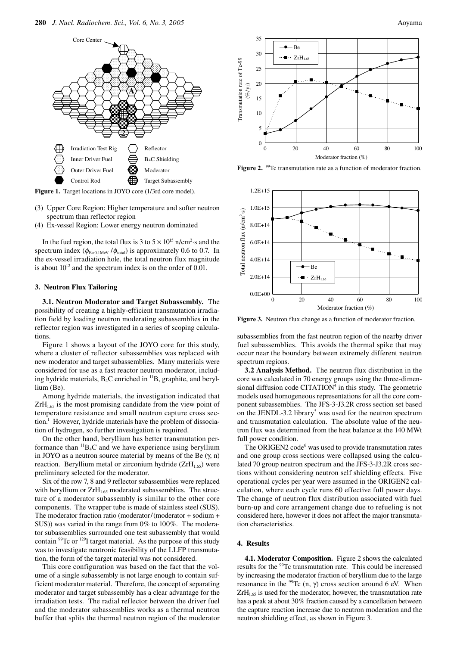

Figure 1. Target locations in JOYO core (1/3rd core model).

- (3) Upper Core Region: Higher temperature and softer neutron spectrum than reflector region
- (4) Ex-vessel Region: Lower energy neutron dominated

In the fuel region, the total flux is  $3 \text{ to } 5 \times 10^{15} \text{ n/cm}^2$  s and the spectrum index ( $\phi_{E>0.1\text{MeV}}/\phi_{\text{total}}$ ) is approximately 0.6 to 0.7. In the ex-vessel irradiation hole, the total neutron flux magnitude is about  $10^{12}$  and the spectrum index is on the order of 0.01.

#### **3. Neutron Flux Tailoring**

**3.1. Neutron Moderator and Target Subassembly.** The possibility of creating a highly-efficient transmutation irradiation field by loading neutron moderating subassemblies in the reflector region was investigated in a series of scoping calculations.

Figure 1 shows a layout of the JOYO core for this study, where a cluster of reflector subassemblies was replaced with new moderator and target subassemblies. Many materials were considered for use as a fast reactor neutron moderator, including hydride materials,  $B_4C$  enriched in  $^{11}B$ , graphite, and beryllium (Be).

Among hydride materials, the investigation indicated that  $ZrH<sub>1.65</sub>$  is the most promising candidate from the view point of temperature resistance and small neutron capture cross section.<sup>1</sup> However, hydride materials have the problem of dissociation of hydrogen, so further investigation is required.

On the other hand, beryllium has better transmutation performance than  ${}^{11}B_4C$  and we have experience using beryllium in JOYO as a neutron source material by means of the Be  $(γ, n)$ reaction. Beryllium metal or zirconium hydride  $(ZrH<sub>1.65</sub>)$  were preliminary selected for the moderator.

Six of the row 7, 8 and 9 reflector subassemblies were replaced with beryllium or  $ZrH<sub>1.65</sub>$  moderated subassemblies. The structure of a moderator subassembly is similar to the other core components. The wrapper tube is made of stainless steel (SUS). The moderator fraction ratio (moderator/(moderator + sodium + SUS)) was varied in the range from 0% to 100%. The moderator subassemblies surrounded one test subassembly that would contain <sup>99</sup>Tc or <sup>129</sup>I target material. As the purpose of this study was to investigate neutronic feasibility of the LLFP transmutation, the form of the target material was not considered.

This core configuration was based on the fact that the volume of a single subassembly is not large enough to contain sufficient moderator material. Therefore, the concept of separating moderator and target subassembly has a clear advantage for the irradiation tests. The radial reflector between the driver fuel and the moderator subassemblies works as a thermal neutron buffer that splits the thermal neutron region of the moderator



**Figure 2.** <sup>99</sup>Tc transmutation rate as a function of moderator fraction.



**Figure 3.** Neutron flux change as a function of moderator fraction.

subassemblies from the fast neutron region of the nearby driver fuel subassemblies. This avoids the thermal spike that may occur near the boundary between extremely different neutron spectrum regions.

**3.2 Analysis Method.** The neutron flux distribution in the core was calculated in 70 energy groups using the three-dimensional diffusion code CITATION<sup>4</sup> in this study. The geometric models used homogeneous representations for all the core component subassemblies. The JFS-3-J3.2R cross section set based on the JENDL-3.2 library<sup>5</sup> was used for the neutron spectrum and transmutation calculation. The absolute value of the neutron flux was determined from the heat balance at the 140 MWt full power condition.

The ORIGEN2 code<sup>6</sup> was used to provide transmutation rates and one group cross sections were collapsed using the calculated 70 group neutron spectrum and the JFS-3-J3.2R cross sections without considering neutron self shielding effects. Five operational cycles per year were assumed in the ORIGEN2 calculation, where each cycle runs 60 effective full power days. The change of neutron flux distribution associated with fuel burn-up and core arrangement change due to refueling is not considered here, however it does not affect the major transmutation characteristics.

## **4. Results**

**4.1. Moderator Composition.** Figure 2 shows the calculated results for the 99Tc transmutation rate. This could be increased by increasing the moderator fraction of beryllium due to the large resonance in the <sup>99</sup>Tc (n, γ) cross section around 6 eV. When  $ZrH<sub>1.65</sub>$  is used for the moderator, however, the transmutation rate has a peak at about 30% fraction caused by a cancellation between the capture reaction increase due to neutron moderation and the neutron shielding effect, as shown in Figure 3.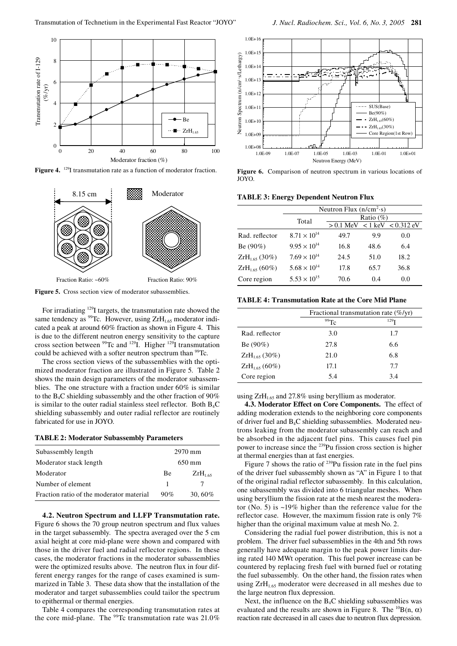

Figure 4. <sup>129</sup>I transmutation rate as a function of moderator fraction.



**Figure 5.** Cross section view of moderator subassemblies.

For irradiating 129I targets, the transmutation rate showed the same tendency as  $99$ Tc. However, using ZrH<sub>1.65</sub> moderator indicated a peak at around 60% fraction as shown in Figure 4. This is due to the different neutron energy sensitivity to the capture cross section between  $^{99}$ Tc and  $^{129}$ I. Higher  $^{129}$ I transmutation could be achieved with a softer neutron spectrum than <sup>99</sup>Tc.

The cross section views of the subassemblies with the optimized moderator fraction are illustrated in Figure 5. Table 2 shows the main design parameters of the moderator subassemblies. The one structure with a fraction under 60% is similar to the  $B_4C$  shielding subassembly and the other fraction of 90% is similar to the outer radial stainless steel reflector. Both  $B_4C$ shielding subassembly and outer radial reflector are routinely fabricated for use in JOYO.

### **TABLE 2: Moderator Subassembly Parameters**

| Subassembly length                       | 2970 mm             |              |
|------------------------------------------|---------------------|--------------|
| Moderator stack length                   | $650 \,\mathrm{mm}$ |              |
| Moderator                                | Be                  | $ZrH_{1,65}$ |
| Number of element                        | 1                   |              |
| Fraction ratio of the moderator material | 90%                 | 30,60%       |

**4.2. Neutron Spectrum and LLFP Transmutation rate.**  Figure 6 shows the 70 group neutron spectrum and flux values in the target subassembly. The spectra averaged over the 5 cm axial height at core mid-plane were shown and compared with those in the driver fuel and radial reflector regions. In these cases, the moderator fractions in the moderator subassemblies were the optimized results above. The neutron flux in four different energy ranges for the range of cases examined is summarized in Table 3. These data show that the installation of the moderator and target subassemblies could tailor the spectrum to epithermal or thermal energies.

Table 4 compares the corresponding transmutation rates at the core mid-plane. The  $^{99}$ Tc transmutation rate was 21.0%



**Figure 6.** Comparison of neutron spectrum in various locations of JOYO.

**TABLE 3: Energy Dependent Neutron Flux**

|                    | Neutron Flux $(n/cm2·s)$ |              |      |                                    |
|--------------------|--------------------------|--------------|------|------------------------------------|
|                    | Total                    | Ratio $(\%)$ |      |                                    |
|                    |                          |              |      | $> 0.1$ MeV $< 1$ keV $< 0.312$ eV |
| Rad. reflector     | $8.71 \times 10^{14}$    | 49.7         | 9.9  | 0.0                                |
| $Be(90\%)$         | $9.95 \times 10^{14}$    | 16.8         | 48.6 | 6.4                                |
| $ZrH_{1,65}$ (30%) | $7.69 \times 10^{14}$    | 24.5         | 51.0 | 18.2                               |
| $ZrH_{1,65}$ (60%) | $5.68 \times 10^{14}$    | 17.8         | 65.7 | 36.8                               |
| Core region        | $5.53 \times 10^{15}$    | 70.6         | 0.4  | 0.0                                |

**TABLE 4: Transmutation Rate at the Core Mid Plane**

|                    | Fractional transmutation rate $(\% / \text{yr})$ |                  |  |
|--------------------|--------------------------------------------------|------------------|--|
|                    | 99Tc                                             | 129 <sub>T</sub> |  |
| Rad. reflector     | 3.0                                              | 1.7              |  |
| $Be(90\%)$         | 27.8                                             | 6.6              |  |
| $ZrH_{1,65}$ (30%) | 21.0                                             | 6.8              |  |
| $ZrH_{1,65}$ (60%) | 17.1                                             | 7.7              |  |
| Core region        | 5.4                                              | 3.4              |  |

using  $ZrH<sub>1.65</sub>$  and 27.8% using beryllium as moderator.

**4.3. Moderator Effect on Core Components.** The effect of adding moderation extends to the neighboring core components of driver fuel and B4C shielding subassemblies. Moderated neutrons leaking from the moderator subassembly can reach and be absorbed in the adjacent fuel pins. This causes fuel pin power to increase since the 239Pu fission cross section is higher at thermal energies than at fast energies.

Figure 7 shows the ratio of  $^{239}$ Pu fission rate in the fuel pins of the driver fuel subassembly shown as "A" in Figure 1 to that of the original radial reflector subassembly. In this calculation, one subassembly was divided into 6 triangular meshes. When using beryllium the fission rate at the mesh nearest the moderator (No. 5) is ~19% higher than the reference value for the reflector case. However, the maximum fission rate is only 7% higher than the original maximum value at mesh No. 2.

Considering the radial fuel power distribution, this is not a problem. The driver fuel subassemblies in the 4th and 5th rows generally have adequate margin to the peak power limits during rated 140 MWt operation. This fuel power increase can be countered by replacing fresh fuel with burned fuel or rotating the fuel subassembly. On the other hand, the fission rates when using ZrH<sub>1.65</sub> moderator were decreased in all meshes due to the large neutron flux depression.

Next, the influence on the  $B_4C$  shielding subassemblies was evaluated and the results are shown in Figure 8. The  ${}^{10}B(n, \alpha)$ reaction rate decreased in all cases due to neutron flux depression.